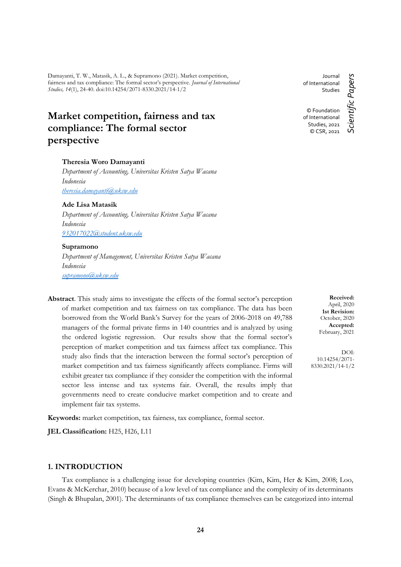Damayanti, T. W., Matasik, A. L., & Supramono (2021). Market competition, fairness and tax compliance: The formal sector's perspective. *Journal of International Studies, 14*(1), 24-40. doi:10.14254/2071-8330.2021/14-1/2

# **Market competition, fairness and tax compliance: The formal sector perspective**

# **Theresia Woro Damayanti**

*Department of Accounting, Universitas Kristen Satya Wacana Indonesia [theresia.damayanti@uksw.edu](mailto:theresia.damayanti@uksw.edu)*

# **Ade Lisa Matasik**

*Department of Accounting, Universitas Kristen Satya Wacana Indonesia [932017022@student.uksw.edu](mailto:932017022@student.uksw.edu)*

#### **Supramono**

*Department of Management, Universitas Kristen Satya Wacana Indonesia [supramono@uksw.edu](mailto:supramono@uksw.edu)*

**Abstract**. This study aims to investigate the effects of the formal sector's perception of market competition and tax fairness on tax compliance. The data has been borrowed from the World Bank's Survey for the years of 2006-2018 on 49,788 managers of the formal private firms in 140 countries and is analyzed by using the ordered logistic regression. Our results show that the formal sector's perception of market competition and tax fairness affect tax compliance. This study also finds that the interaction between the formal sector's perception of market competition and tax fairness significantly affects compliance. Firms will exhibit greater tax compliance if they consider the competition with the informal sector less intense and tax systems fair. Overall, the results imply that governments need to create conducive market competition and to create and implement fair tax systems.

**Keywords:** market competition, tax fairness, tax compliance, formal sector.

**JEL Classification:** H25, H26, L11

# **1. INTRODUCTION**

Tax compliance is a challenging issue for developing countries (Kim, Kim, Her & Kim, 2008; Loo, Evans & McKerchar, 2010) because of a low level of tax compliance and the complexity of its determinants (Singh & Bhupalan, 2001). The determinants of tax compliance themselves can be categorized into internal

Journal of International **Studies** © Foundation of International

> Studies, 2021 © CSR, 2021

Scientific Papers *Scientific Papers*

**Received:** April, 2020 **1st Revision:** October, 2020 **Accepted:** February, 2021

DOI: 10.14254/2071- 8330.2021/14-1/2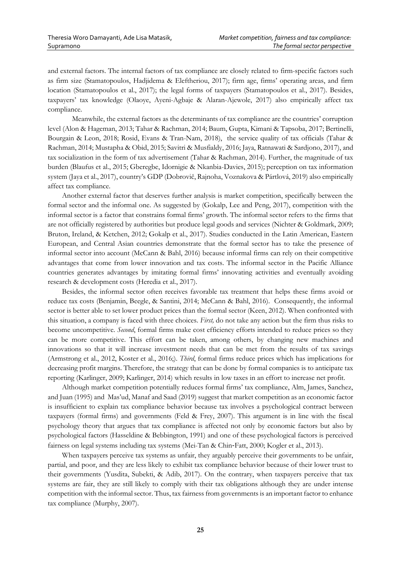and external factors. The internal factors of tax compliance are closely related to firm-specific factors such as firm size (Stamatopoulos, Hadjidema & Eleftheriou, 2017); firm age, firms' operating areas, and firm location (Stamatopoulos et al., 2017); the legal forms of taxpayers (Stamatopoulos et al., 2017). Besides, taxpayers' tax knowledge (Olaoye, Ayeni-Agbaje & Alaran-Ajewole, 2017) also empirically affect tax compliance.

Meanwhile, the external factors as the determinants of tax compliance are the countries' corruption level (Alon & Hageman, 2013; Tahar & Rachman, 2014; Baum, Gupta, Kimani & Tapsoba, 2017; Bertinelli, Bourgain & Leon, 2018; Rosid, Evans & Tran-Nam, 2018), the service quality of tax officials (Tahar & Rachman, 2014; Mustapha & Obid, 2015; Savitri & Musfialdy, 2016; Jaya, Ratnawati & Sardjono, 2017), and tax socialization in the form of tax advertisement (Tahar & Rachman, 2014). Further, the magnitude of tax burden (Blaufus et al., 2015; Gberegbe, Idornigie & Nkanbia-Davies, 2015); perception on tax information system (Jaya et al., 2017), country's GDP (Dobrovič, Rajnoha, Voznakova & Pártlová, 2019) also empirically affect tax compliance.

Another external factor that deserves further analysis is market competition, specifically between the formal sector and the informal one. As suggested by (Gokalp, Lee and Peng, 2017), competition with the informal sector is a factor that constrains formal firms' growth. The informal sector refers to the firms that are not officially registered by authorities but produce legal goods and services (Nichter & Goldmark, 2009; Bruton, Ireland, & Ketchen, 2012; Gokalp et al., 2017). Studies conducted in the Latin American, Eastern European, and Central Asian countries demonstrate that the formal sector has to take the presence of informal sector into account (McCann & Bahl, 2016) because informal firms can rely on their competitive advantages that come from lower innovation and tax costs. The informal sector in the Pacific Alliance countries generates advantages by imitating formal firms' innovating activities and eventually avoiding research & development costs (Heredia et al., 2017).

Besides, the informal sector often receives favorable tax treatment that helps these firms avoid or reduce tax costs (Benjamin, Beegle, & Santini, 2014; McCann & Bahl, 2016). Consequently, the informal sector is better able to set lower product prices than the formal sector (Keen, 2012). When confronted with this situation, a company is faced with three choices. *First,* do not take any action but the firm thus risks to become uncompetitive. *Second*, formal firms make cost efficiency efforts intended to reduce prices so they can be more competitive. This effort can be taken, among others, by changing new machines and innovations so that it will increase investment needs that can be met from the results of tax savings (Armstrong et al., 2012, Koster et al., 2016;). *Third*, formal firms reduce prices which has implications for decreasing profit margins. Therefore, the strategy that can be done by formal companies is to anticipate tax reporting (Karlinger, 2009; Karlinger, 2014) which results in low taxes in an effort to increase net profit.

Although market competition potentially reduces formal firms' tax compliance, Alm, James, Sanchez, and Juan (1995) and Mas'ud, Manaf and Saad (2019) suggest that market competition as an economic factor is insufficient to explain tax compliance behavior because tax involves a psychological contract between taxpayers (formal firms) and governments (Feld & Frey, 2007). This argument is in line with the fiscal psychology theory that argues that tax compliance is affected not only by economic factors but also by psychological factors (Hasseldine & Bebbington, 1991) and one of these psychological factors is perceived fairness on legal systems including tax systems [\(Mei-Tan](https://www.emerald.com/insight/search?q=Lin%20Mei%20Tan) & [Chin](https://www.emerald.com/insight/search?q=Carrol%20Chin%E2%80%90Fatt)-[Fatt, 2](https://www.emerald.com/insight/search?q=Carrol%20Chin%E2%80%90Fatt)000; Kogler et al., 2013).

When taxpayers perceive tax systems as unfair, they arguably perceive their governments to be unfair, partial, and poor, and they are less likely to exhibit tax compliance behavior because of their lower trust to their governments (Yusdita, Subekti, & Adib, 2017). On the contrary, when taxpayers perceive that tax systems are fair, they are still likely to comply with their tax obligations although they are under intense competition with the informal sector. Thus, tax fairness from governments is an important factor to enhance tax compliance (Murphy, 2007).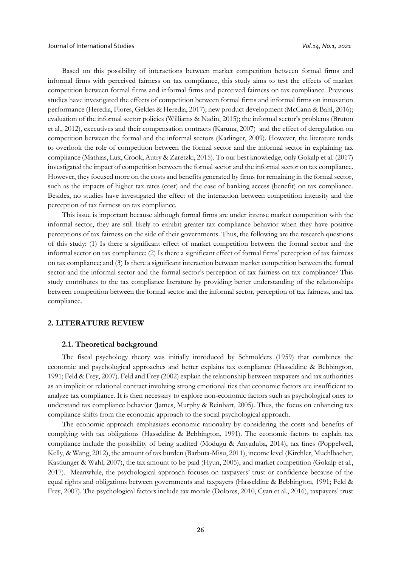Based on this possibility of interactions between market competition between formal firms and informal firms with perceived fairness on tax compliance, this study aims to test the effects of market competition between formal firms and informal firms and perceived fairness on tax compliance. Previous studies have investigated the effects of competition between formal firms and informal firms on innovation performance (Heredia, Flores, Geldes & Heredia, 2017); new product development (McCann & Bahl, 2016); evaluation of the informal sector policies (Williams & Nadin, 2015); the informal sector's problems (Bruton et al., 2012), executives and their compensation contracts (Karuna, 2007) and the effect of deregulation on competition between the formal and the informal sectors (Karlinger, 2009). However, the literature tends to overlook the role of competition between the formal sector and the informal sector in explaining tax compliance (Mathias, Lux, Crook, Autry & Zaretzki, 2015). To our best knowledge, only Gokalp et al. (2017) investigated the impact of competition between the formal sector and the informal sector on tax compliance. However, they focused more on the costs and benefits generated by firms for remaining in the formal sector, such as the impacts of higher tax rates (cost) and the ease of banking access (benefit) on tax compliance. Besides, no studies have investigated the effect of the interaction between competition intensity and the perception of tax fairness on tax compliance.

This issue is important because although formal firms are under intense market competition with the informal sector, they are still likely to exhibit greater tax compliance behavior when they have positive perceptions of tax fairness on the side of their governments. Thus, the following are the research questions of this study: (1) Is there a significant effect of market competition between the formal sector and the informal sector on tax compliance; (2) Is there a significant effect of formal firms' perception of tax fairness on tax compliance; and (3) Is there a significant interaction between market competition between the formal sector and the informal sector and the formal sector's perception of tax fairness on tax compliance? This study contributes to the tax compliance literature by providing better understanding of the relationships between competition between the formal sector and the informal sector, perception of tax fairness, and tax compliance.

## **2. LITERATURE REVIEW**

# **2.1. Theoretical background**

The fiscal psychology theory was initially introduced by Schmolders (1959) that combines the economic and psychological approaches and better explains tax compliance (Hasseldine & Bebbington, 1991; Feld & Frey, 2007). Feld and Frey (2002) explain the relationship between taxpayers and tax authorities as an implicit or relational contract involving strong emotional ties that economic factors are insufficient to analyze tax compliance. It is then necessary to explore non-economic factors such as psychological ones to understand tax compliance behavior (James, Murphy & Reinhart, 2005). Thus, the focus on enhancing tax compliance shifts from the economic approach to the social psychological approach.

The economic approach emphasizes economic rationality by considering the costs and benefits of complying with tax obligations (Hasseldine & Bebbington, 1991). The economic factors to explain tax compliance include the possibility of being audited (Modugu & Anyaduba, 2014), tax fines (Poppelwell, Kelly, & Wang, 2012), the amount of tax burden (Barbuta-Misu, 2011), income level (Kirchler, Muehlbacher, Kastlunger & Wahl, 2007), the tax amount to be paid (Hyun, 2005), and market competition (Gokalp et al., 2017). Meanwhile, the psychological approach focuses on taxpayers' trust or confidence because of the equal rights and obligations between governments and taxpayers (Hasseldine & Bebbington, 1991; Feld & Frey, 2007). The psychological factors include tax morale (Dolores, 2010, Cyan et al., 2016), taxpayers' trust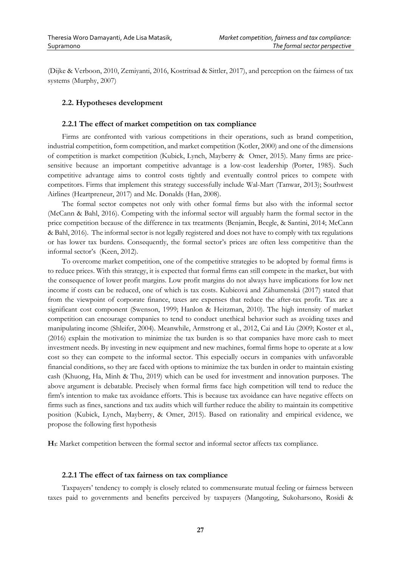(Dijke & Verboon, 2010, Zemiyanti, 2016, Kostritsad & Sittler, 2017), and perception on the fairness of tax systems (Murphy, 2007)

# **2.2. Hypotheses development**

#### **2.2.1 The effect of market competition on tax compliance**

Firms are confronted with various competitions in their operations, such as brand competition, industrial competition, form competition, and market competition (Kotler, 2000) and one of the dimensions of competition is market competition (Kubick, Lynch, Mayberry & Omer, 2015). Many firms are pricesensitive because an important competitive advantage is a low-cost leadership (Porter, 1985). Such competitive advantage aims to control costs tightly and eventually control prices to compete with competitors. Firms that implement this strategy successfully include Wal-Mart (Tanwar, 2013); Southwest Airlines (Heartpreneur, 2017) and Mc. Donalds (Han, 2008).

The formal sector competes not only with other formal firms but also with the informal sector (McCann & Bahl, 2016). Competing with the informal sector will arguably harm the formal sector in the price competition because of the difference in tax treatments (Benjamin, Beegle, & Santini, 2014; McCann & Bahl, 2016). The informal sector is not legally registered and does not have to comply with tax regulations or has lower tax burdens. Consequently, the formal sector's prices are often less competitive than the informal sector's (Keen, 2012).

To overcome market competition, one of the competitive strategies to be adopted by formal firms is to reduce prices. With this strategy, it is expected that formal firms can still compete in the market, but with the consequence of lower profit margins. Low profit margins do not always have implications for low net income if costs can be reduced, one of which is tax costs. Kubicová and Záhumenská (2017) stated that from the viewpoint of corporate finance, taxes are expenses that reduce the after-tax profit. Tax are a significant cost component (Swenson, 1999; Hanlon & Heitzman, 2010). The high intensity of market competition can encourage companies to tend to conduct unethical behavior such as avoiding taxes and manipulating income (Shleifer, 2004). Meanwhile, Armstrong et al., 2012, Cai and Liu (2009; Koster et al., (2016) explain the motivation to minimize the tax burden is so that companies have more cash to meet investment needs. By investing in new equipment and new machines, formal firms hope to operate at a low cost so they can compete to the informal sector. This especially occurs in companies with unfavorable financial conditions, so they are faced with options to minimize the tax burden in order to maintain existing cash (Khuong, Ha, Minh & Thu, 2019) which can be used for investment and innovation purposes. The above argument is debatable. Precisely when formal firms face high competition will tend to reduce the firm's intention to make tax avoidance efforts. This is because tax avoidance can have negative effects on firms such as fines, sanctions and tax audits which will further reduce the ability to maintain its competitive position (Kubick, Lynch, Mayberry, & Omer, 2015). Based on rationality and empirical evidence, we propose the following first hypothesis

**H1**: Market competition between the formal sector and informal sector affects tax compliance.

#### **2.2.1 The effect of tax fairness on tax compliance**

Taxpayers' tendency to comply is closely related to commensurate mutual feeling or fairness between taxes paid to governments and benefits perceived by taxpayers (Mangoting, Sukoharsono, Rosidi &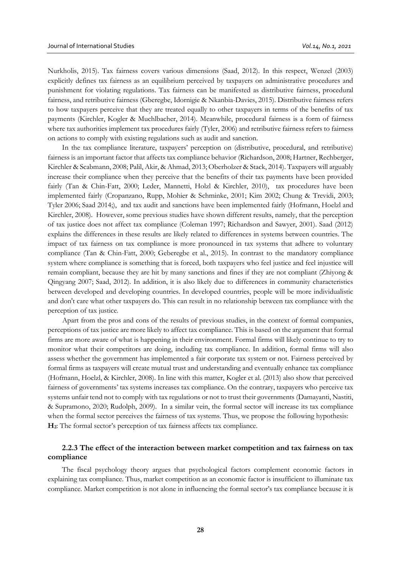Nurkholis, 2015). Tax fairness covers various dimensions (Saad, 2012). In this respect, Wenzel (2003) explicitly defines tax fairness as an equilibrium perceived by taxpayers on administrative procedures and punishment for violating regulations. Tax fairness can be manifested as distributive fairness, procedural fairness, and retributive fairness (Gberegbe, Idornigie & Nkanbia-Davies, 2015). Distributive fairness refers to how taxpayers perceive that they are treated equally to other taxpayers in terms of the benefits of tax payments (Kirchler, Kogler & Muchlbacher, 2014). Meanwhile, procedural fairness is a form of fairness where tax authorities implement tax procedures fairly (Tyler, 2006) and retributive fairness refers to fairness on actions to comply with existing regulations such as audit and sanction.

In the tax compliance literature, taxpayers' perception on (distributive, procedural, and retributive) fairness is an important factor that affects tax compliance behavior (Richardson, 2008; Hartner, Rechberger, Kirchler & Scabmann, 2008; Palil, Akir, & Ahmad, 2013; Oberholzer & Stack, 2014). Taxpayers will arguably increase their compliance when they perceive that the benefits of their tax payments have been provided fairly (Tan & Chin-Fatt, 2000; Leder, Mannetti, Holzl & Kirchler, 2010), tax procedures have been implemented fairly (Cropanzano, Rupp, Mohier & Schminke, 2001; Kim 2002; Chung & Trevidi, 2003; Tyler 2006; Saad 2014;), and tax audit and sanctions have been implemented fairly (Hofmann, Hoelzl and Kirchler, 2008). However, some previous studies have shown different results, namely, that the perception of tax justice does not affect tax compliance (Coleman 1997; Richardson and Sawyer, 2001). Saad (2012) explains the differences in these results are likely related to differences in systems between countries. The impact of tax fairness on tax compliance is more pronounced in tax systems that adhere to voluntary compliance (Tan & Chin-Fatt, 2000; Geberegbe et al., 2015). In contrast to the mandatory compliance system where compliance is something that is forced, both taxpayers who feel justice and feel injustice will remain compliant, because they are hit by many sanctions and fines if they are not compliant (Zhiyong & Qingyang 2007; Saad, 2012). In addition, it is also likely due to differences in community characteristics between developed and developing countries. In developed countries, people will be more individualistic and don't care what other taxpayers do. This can result in no relationship between tax compliance with the perception of tax justice.

Apart from the pros and cons of the results of previous studies, in the context of formal companies, perceptions of tax justice are more likely to affect tax compliance. This is based on the argument that formal firms are more aware of what is happening in their environment. Formal firms will likely continue to try to monitor what their competitors are doing, including tax compliance. In addition, formal firms will also assess whether the government has implemented a fair corporate tax system or not. Fairness perceived by formal firms as taxpayers will create mutual trust and understanding and eventually enhance tax compliance (Hofmann, Hoelzl, & Kirchler, 2008). In line with this matter, Kogler et al. (2013) also show that perceived fairness of governments' tax systems increases tax compliance. On the contrary, taxpayers who perceive tax systems unfair tend not to comply with tax regulations or not to trust their governments (Damayanti, Nastiti, & Supramono, 2020; Rudolph, 2009). In a similar vein, the formal sector will increase its tax compliance when the formal sector perceives the fairness of tax systems. Thus, we propose the following hypothesis: **H2**: The formal sector's perception of tax fairness affects tax compliance.

# **2.2.3 The effect of the interaction between market competition and tax fairness on tax compliance**

The fiscal psychology theory argues that psychological factors complement economic factors in explaining tax compliance. Thus, market competition as an economic factor is insufficient to illuminate tax compliance. Market competition is not alone in influencing the formal sector's tax compliance because it is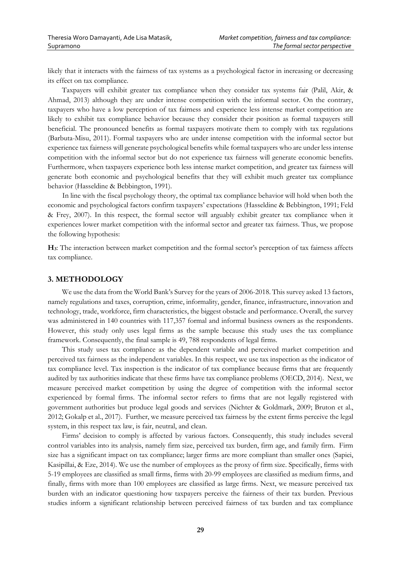likely that it interacts with the fairness of tax systems as a psychological factor in increasing or decreasing its effect on tax compliance.

Taxpayers will exhibit greater tax compliance when they consider tax systems fair (Palil, Akir, & Ahmad, 2013) although they are under intense competition with the informal sector. On the contrary, taxpayers who have a low perception of tax fairness and experience less intense market competition are likely to exhibit tax compliance behavior because they consider their position as formal taxpayers still beneficial. The pronounced benefits as formal taxpayers motivate them to comply with tax regulations (Barbuta-Misu, 2011). Formal taxpayers who are under intense competition with the informal sector but experience tax fairness will generate psychological benefits while formal taxpayers who are under less intense competition with the informal sector but do not experience tax fairness will generate economic benefits. Furthermore, when taxpayers experience both less intense market competition, and greater tax fairness will generate both economic and psychological benefits that they will exhibit much greater tax compliance behavior (Hasseldine & Bebbington, 1991).

In line with the fiscal psychology theory, the optimal tax compliance behavior will hold when both the economic and psychological factors confirm taxpayers' expectations (Hasseldine & Bebbington, 1991; Feld & Frey, 2007). In this respect, the formal sector will arguably exhibit greater tax compliance when it experiences lower market competition with the informal sector and greater tax fairness. Thus, we propose the following hypothesis:

**H3**: The interaction between market competition and the formal sector's perception of tax fairness affects tax compliance.

## **3. METHODOLOGY**

We use the data from the World Bank's Survey for the years of 2006-2018. This survey asked 13 factors, namely regulations and taxes, corruption, crime, informality, gender, finance, infrastructure, innovation and technology, trade, workforce, firm characteristics, the biggest obstacle and performance. Overall, the survey was administered in 140 countries with 117,357 formal and informal business owners as the respondents. However, this study only uses legal firms as the sample because this study uses the tax compliance framework. Consequently, the final sample is 49, 788 respondents of legal firms.

This study uses tax compliance as the dependent variable and perceived market competition and perceived tax fairness as the independent variables. In this respect, we use tax inspection as the indicator of tax compliance level. Tax inspection is the indicator of tax compliance because firms that are frequently audited by tax authorities indicate that these firms have tax compliance problems (OECD, 2014). Next, we measure perceived market competition by using the degree of competition with the informal sector experienced by formal firms. The informal sector refers to firms that are not legally registered with government authorities but produce legal goods and services (Nichter & Goldmark, 2009; Bruton et al., 2012; Gokalp et al., 2017). Further, we measure perceived tax fairness by the extent firms perceive the legal system, in this respect tax law, is fair, neutral, and clean.

Firms' decision to comply is affected by various factors. Consequently, this study includes several control variables into its analysis, namely firm size, perceived tax burden, firm age, and family firm. Firm size has a significant impact on tax compliance; larger firms are more compliant than smaller ones (Sapiei, Kasipillai, & Eze, 2014). We use the number of employees as the proxy of firm size. Specifically, firms with 5-19 employees are classified as small firms, firms with 20-99 employees are classified as medium firms, and finally, firms with more than 100 employees are classified as large firms. Next, we measure perceived tax burden with an indicator questioning how taxpayers perceive the fairness of their tax burden. Previous studies inform a significant relationship between perceived fairness of tax burden and tax compliance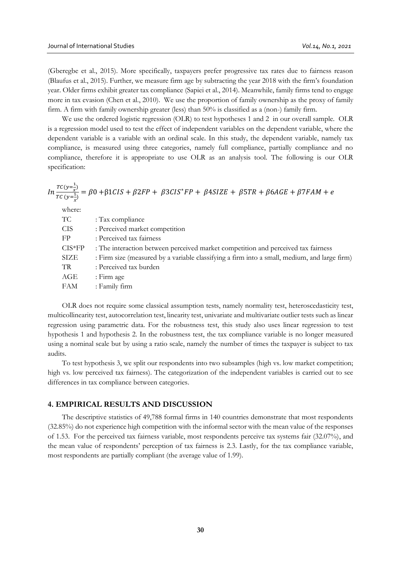(Gberegbe et al., 2015). More specifically, taxpayers prefer progressive tax rates due to fairness reason (Blaufus et al., 2015). Further, we measure firm age by subtracting the year 2018 with the firm's foundation year. Older firms exhibit greater tax compliance (Sapiei et al., 2014). Meanwhile, family firms tend to engage more in tax evasion (Chen et al., 2010). We use the proportion of family ownership as the proxy of family firm. A firm with family ownership greater (less) than 50% is classified as a (non-) family firm.

We use the ordered logistic regression (OLR) to test hypotheses 1 and 2 in our overall sample. OLR is a regression model used to test the effect of independent variables on the dependent variable, where the dependent variable is a variable with an ordinal scale. In this study, the dependent variable, namely tax compliance, is measured using three categories, namely full compliance, partially compliance and no compliance, therefore it is appropriate to use OLR as an analysis tool. The following is our OLR specification:

$$
In \frac{TC(y=\frac{1}{x})}{TC(y=\frac{1}{x})} = \beta 0 + \beta 1CIS + \beta 2FP + \beta 3CIS^*FP + \beta 4SIZE + \beta 5TR + \beta 6AGE + \beta 7FAM + e
$$

where:

| TC          | : Tax compliance                                                                             |
|-------------|----------------------------------------------------------------------------------------------|
| <b>CIS</b>  | : Perceived market competition                                                               |
| FP          | : Perceived tax fairness                                                                     |
| $CIS*FP$    | : The interaction between perceived market competition and perceived tax fairness            |
| <b>SIZE</b> | : Firm size (measured by a variable classifying a firm into a small, medium, and large firm) |
| TR.         | : Perceived tax burden                                                                       |
| AGE         | : Firm age                                                                                   |
| <b>FAM</b>  | : Family firm                                                                                |
|             |                                                                                              |

OLR does not require some classical assumption tests, namely normality test, heteroscedasticity test, multicollinearity test, autocorrelation test, linearity test, univariate and multivariate outlier tests such as linear regression using parametric data. For the robustness test, this study also uses linear regression to test hypothesis 1 and hypothesis 2. In the robustness test, the tax compliance variable is no longer measured using a nominal scale but by using a ratio scale, namely the number of times the taxpayer is subject to tax audits.

To test hypothesis 3, we split our respondents into two subsamples (high vs. low market competition; high vs. low perceived tax fairness). The categorization of the independent variables is carried out to see differences in tax compliance between categories.

### **4. EMPIRICAL RESULTS AND DISCUSSION**

The descriptive statistics of 49,788 formal firms in 140 countries demonstrate that most respondents (32.85%) do not experience high competition with the informal sector with the mean value of the responses of 1.53. For the perceived tax fairness variable, most respondents perceive tax systems fair (32.07%), and the mean value of respondents' perception of tax fairness is 2.3. Lastly, for the tax compliance variable, most respondents are partially compliant (the average value of 1.99).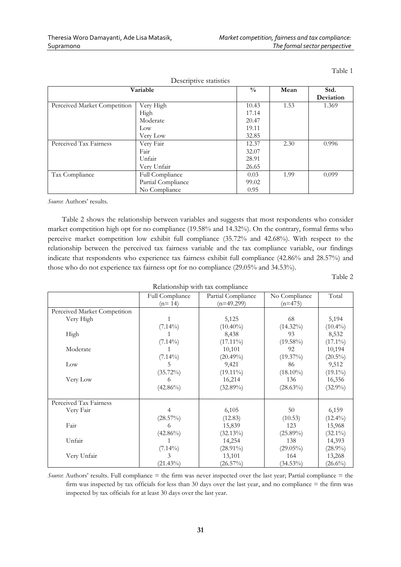| Descriptive statistics       |                    |       |      |           |  |
|------------------------------|--------------------|-------|------|-----------|--|
| Variable                     |                    |       | Mean | Std.      |  |
|                              |                    |       |      | Deviation |  |
| Perceived Market Competition | Very High          | 10.43 | 1.53 | 1.369     |  |
|                              | High               | 17.14 |      |           |  |
|                              | Moderate           | 20.47 |      |           |  |
|                              | Low                | 19.11 |      |           |  |
|                              | Very Low           | 32.85 |      |           |  |
| Perceived Tax Fairness       | Very Fair          | 12.37 | 2.30 | 0.996     |  |
|                              | Fair               | 32.07 |      |           |  |
|                              | Unfair             | 28.91 |      |           |  |
|                              | Very Unfair        | 26.65 |      |           |  |
| Tax Compliance               | Full Compliance    | 0.03  | 1.99 | 0.099     |  |
|                              | Partial Compliance | 99.02 |      |           |  |
|                              | No Compliance      | 0.95  |      |           |  |

*Source*: Authors' results.

Table 2 shows the relationship between variables and suggests that most respondents who consider market competition high opt for no compliance (19.58% and 14.32%). On the contrary, formal firms who perceive market competition low exhibit full compliance (35.72% and 42.68%). With respect to the relationship between the perceived tax fairness variable and the tax compliance variable, our findings indicate that respondents who experience tax fairness exhibit full compliance (42.86% and 28.57%) and those who do not experience tax fairness opt for no compliance (29.05% and 34.53%).

Table 2

| Relationship with tax compliance |                             |                                    |                            |            |  |
|----------------------------------|-----------------------------|------------------------------------|----------------------------|------------|--|
|                                  | Full Compliance<br>$(n=14)$ | Partial Compliance<br>$(n=49.299)$ | No Compliance<br>$(n=475)$ | Total      |  |
| Perceived Market Competition     |                             |                                    |                            |            |  |
| Very High                        |                             | 5,125                              | 68                         | 5,194      |  |
|                                  | $(7.14\%)$                  | $(10.40\%)$                        | $(14.32\%)$                | $(10.4\%)$ |  |
| High                             |                             | 8,438                              | 93                         | 8,532      |  |
|                                  | $(7.14\%)$                  | $(17.11\%)$                        | $(19.58\%)$                | $(17.1\%)$ |  |
| Moderate                         |                             | 10,101                             | 92                         | 10,194     |  |
|                                  | $(7.14\%)$                  | $(20.49\%)$                        | $(19.37\%)$                | $(20.5\%)$ |  |
| Low                              | 5                           | 9,421                              | 86                         | 9,512      |  |
|                                  | $(35.72\%)$                 | $(19.11\%)$                        | $(18.10\%)$                | $(19.1\%)$ |  |
| Very Low                         | 6                           | 16,214                             | 136                        | 16,356     |  |
|                                  | $(42.86\%)$                 | $(32.89\%)$                        | $(28.63\%)$                | $(32.9\%)$ |  |
| Perceived Tax Fairness           |                             |                                    |                            |            |  |
| Very Fair                        | 4                           | 6,105                              | 50                         | 6,159      |  |
|                                  | $(28.57\%)$                 | (12.83)                            | (10.53)                    | $(12.4\%)$ |  |
| Fair                             | 6                           | 15,839                             | 123                        | 15,968     |  |
|                                  | $(42.86\%)$                 | $(32.13\%)$                        | $(25.89\%)$                | $(32.1\%)$ |  |
| Unfair                           |                             | 14,254                             | 138                        | 14,393     |  |
|                                  | $(7.14\%)$                  | $(28.91\%)$                        | $(29.05\%)$                | $(28.9\%)$ |  |
| Very Unfair                      | 3                           | 13,101                             | 164                        | 13,268     |  |
|                                  | $(21.43\%)$                 | $(26.57\%)$                        | $(34.53\%)$                | $(26.6\%)$ |  |

*Source*: Authors' results. Full compliance = the firm was never inspected over the last year; Partial compliance = the firm was inspected by tax officials for less than 30 days over the last year, and no compliance = the firm was inspected by tax officials for at least 30 days over the last year.

**31**

Table 1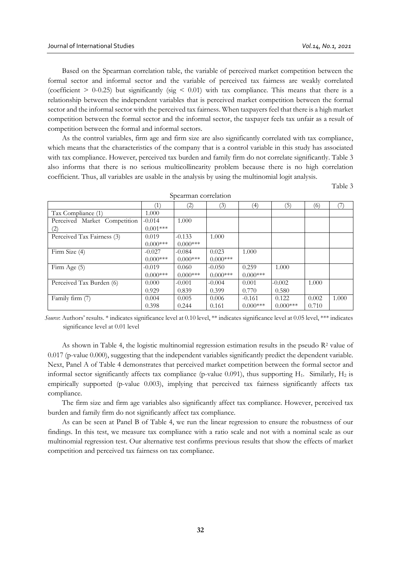Based on the Spearman correlation table, the variable of perceived market competition between the formal sector and informal sector and the variable of perceived tax fairness are weakly correlated (coefficient  $> 0-0.25$ ) but significantly (sig  $< 0.01$ ) with tax compliance. This means that there is a relationship between the independent variables that is perceived market competition between the formal sector and the informal sector with the perceived tax fairness. When taxpayers feel that there is a high market competition between the formal sector and the informal sector, the taxpayer feels tax unfair as a result of competition between the formal and informal sectors.

As the control variables, firm age and firm size are also significantly correlated with tax compliance, which means that the characteristics of the company that is a control variable in this study has associated with tax compliance. However, perceived tax burden and family firm do not correlate significantly. Table 3 also informs that there is no serious multicollinearity problem because there is no high correlation coefficient. Thus, all variables are usable in the analysis by using the multinomial logit analysis.

Table 3

|                              |            | (2)        | (3)        | (4)        | (5)        | (6)   |       |
|------------------------------|------------|------------|------------|------------|------------|-------|-------|
| Tax Compliance (1)           | 1.000      |            |            |            |            |       |       |
| Perceived Market Competition | $-0.014$   | 1.000      |            |            |            |       |       |
| (2)                          | $0.001***$ |            |            |            |            |       |       |
| Perceived Tax Fairness (3)   | 0.019      | $-0.133$   | 1.000      |            |            |       |       |
|                              | $0.000***$ | $0.000***$ |            |            |            |       |       |
| Firm Size (4)                | $-0.027$   | $-0.084$   | 0.023      | 1.000      |            |       |       |
|                              | $0.000***$ | $0.000***$ | $0.000***$ |            |            |       |       |
| Firm Age (5)                 | $-0.019$   | 0.060      | $-0.050$   | 0.259      | 1.000      |       |       |
|                              | $0.000***$ | $0.000***$ | $0.000***$ | $0.000***$ |            |       |       |
| Perceived Tax Burden (6)     | 0.000      | $-0.001$   | $-0.004$   | 0.001      | $-0.002$   | 1.000 |       |
|                              | 0.929      | 0.839      | 0.399      | 0.770      | 0.580      |       |       |
| Family firm (7)              | 0.004      | 0.005      | 0.006      | $-0.161$   | 0.122      | 0.002 | 1.000 |
|                              | 0.398      | 0.244      | 0.161      | $0.000***$ | $0.000***$ | 0.710 |       |

Spearman correlation

*Source*: Authors' results. \* indicates significance level at 0.10 level, \*\* indicates significance level at 0.05 level, \*\*\* indicates significance level at 0.01 level

As shown in Table 4, the logistic multinomial regression estimation results in the pseudo R<sup>2</sup> value of 0.017 (p-value 0.000), suggesting that the independent variables significantly predict the dependent variable. Next, Panel A of Table 4 demonstrates that perceived market competition between the formal sector and informal sector significantly affects tax compliance (p-value 0.091), thus supporting  $H_1$ . Similarly,  $H_2$  is empirically supported (p-value 0.003), implying that perceived tax fairness significantly affects tax compliance.

The firm size and firm age variables also significantly affect tax compliance. However, perceived tax burden and family firm do not significantly affect tax compliance.

As can be seen at Panel B of Table 4, we run the linear regression to ensure the robustness of our findings. In this test, we measure tax compliance with a ratio scale and not with a nominal scale as our multinomial regression test. Our alternative test confirms previous results that show the effects of market competition and perceived tax fairness on tax compliance.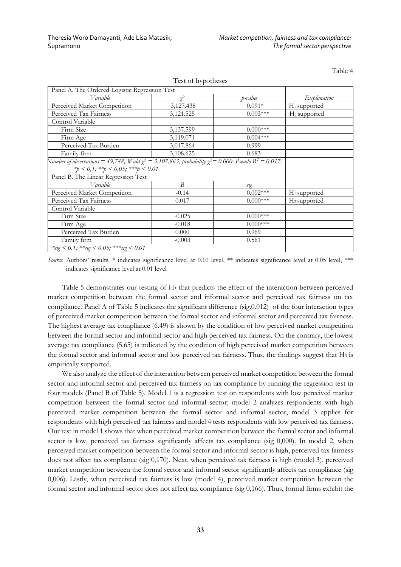| <i>V</i> ariable                                                                                                                                              | $v^2$     | p-value           | Explanation              |
|---------------------------------------------------------------------------------------------------------------------------------------------------------------|-----------|-------------------|--------------------------|
| Perceived Market Competition                                                                                                                                  | 3,127.438 | $0.091*$          | $H_1$ supported          |
| Perceived Tax Fairness                                                                                                                                        | 3,121.525 | $0.003***$        | H <sub>2</sub> supported |
| Control Variable                                                                                                                                              |           |                   |                          |
| Firm Size                                                                                                                                                     | 3,137.599 | $0.000***$        |                          |
| Firm Age                                                                                                                                                      | 3,119.071 | $0.004***$        |                          |
| Perceived Tax Burden                                                                                                                                          | 3,017.864 | 0.999             |                          |
| Family firm                                                                                                                                                   | 3,108.625 | 0.683             |                          |
| Number of observations = 49,788; Wald $\chi^2$ = 3.107,863; probability $\chi^2$ = 0.000; Pseudo R <sup>2</sup> = 0.017;<br>*p < 0,1; **p < 0,05; ***p < 0,01 |           |                   |                          |
| Panel B. The Linear Regression Test                                                                                                                           |           |                   |                          |
| <i>V</i> ariable                                                                                                                                              | B         |                   |                          |
| Perceived Market Competition                                                                                                                                  | $-0.14$   | sig<br>$0.002***$ | $H_1$ supported          |
| Perceived Tax Fairness                                                                                                                                        | 0.017     | $0.000***$        | H <sub>2</sub> supported |
| Control Variable                                                                                                                                              |           |                   |                          |
| Firm Size                                                                                                                                                     | $-0.025$  | $0.000***$        |                          |
| Firm Age                                                                                                                                                      | $-0.018$  | $0.000***$        |                          |
| Perceived Tax Burden                                                                                                                                          | 0.000     | 0.969             |                          |

Test of hypotheses

Table 4

*Source*: Authors' results. \* indicates significance level at 0.10 level, \*\* indicates significance level at 0.05 level, \*\*\* indicates significance level at 0.01 level

Table 5 demonstrates our testing of H<sup>3</sup> that predicts the effect of the interaction between perceived market competition between the formal sector and informal sector and perceived tax fairness on tax compliance. Panel A of Table 5 indicates the significant difference (sig.0.012) of the four interaction types of perceived market competition between the formal sector and informal sector and perceived tax fairness. The highest average tax compliance (6.49) is shown by the condition of low perceived market competition between the formal sector and informal sector and high perceived tax fairness. On the contrary, the lowest average tax compliance (5.65) is indicated by the condition of high perceived market competition between the formal sector and informal sector and low perceived tax fairness. Thus, the findings suggest that  $H_3$  is empirically supported.

We also analyze the effect of the interaction between perceived market competition between the formal sector and informal sector and perceived tax fairness on tax compliance by running the regression test in four models (Panel B of Table 5). Model 1 is a regression test on respondents with low perceived market competition between the formal sector and informal sector; model 2 analyzes respondents with high perceived market competition between the formal sector and informal sector, model 3 applies for respondents with high perceived tax fairness and model 4 tests respondents with low perceived tax fairness. Our test in model 1 shows that when perceived market competition between the formal sector and informal sector is low, perceived tax fairness significantly affects tax compliance (sig 0,000). In model 2, when perceived market competition between the formal sector and informal sector is high, perceived tax fairness does not affect tax compliance (sig 0,170). Next, when perceived tax fairness is high (model 3), perceived market competition between the formal sector and informal sector significantly affects tax compliance (sig 0,006). Lastly, when perceived tax fairness is low (model 4), perceived market competition between the formal sector and informal sector does not affect tax compliance (sig 0,166). Thus, formal firms exhibit the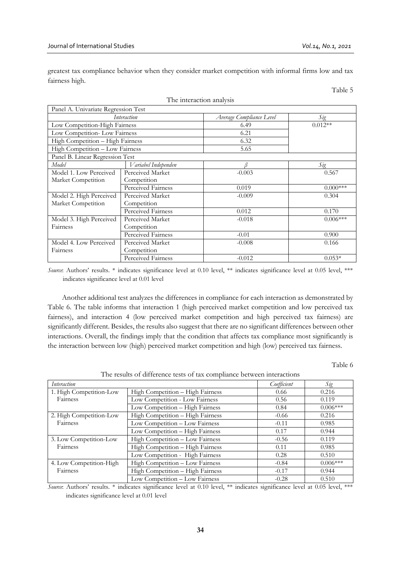Table 5

greatest tax compliance behavior when they consider market competition with informal firms low and tax fairness high.

| Panel A. Univariate Regression Test |                     |                          |            |
|-------------------------------------|---------------------|--------------------------|------------|
| Interaction                         |                     | Average Compliance Level | Sig        |
| Low Competition-High Fairness       |                     | 6.49                     | $0.012**$  |
| Low Competition-Low Fairness        |                     | 6.21                     |            |
| High Competition - High Fairness    |                     | 6.32                     |            |
| High Competition - Low Fairness     |                     | 5.65                     |            |
| Panel B. Linear Regression Test     |                     |                          |            |
| Model                               | Variabel Independen | R                        | Sig        |
| Model 1. Low Perceived              | Perceived Market    | $-0.003$                 | 0.567      |
| Market Competition                  | Competition         |                          |            |
|                                     | Perceived Fairness  | 0.019                    | $0.000***$ |
| Model 2. High Perceived             | Perceived Market    | $-0.009$                 | 0.304      |
| Market Competition                  | Competition         |                          |            |
|                                     | Perceived Fairness  | 0.012                    | 0.170      |
| Model 3. High Perceived             | Perceived Market    | $-0.018$                 | $0.006***$ |
| Fairness                            | Competition         |                          |            |
|                                     | Perceived Fairness  | $-0.01$                  | 0.900      |
| Model 4. Low Perceived              | Perceived Market    | $-0.008$                 | 0.166      |
| Fairness                            | Competition         |                          |            |
|                                     | Perceived Fairness  | $-0.012$                 | $0.053*$   |

The interaction analysis

*Source*: Authors' results. \* indicates significance level at 0.10 level, \*\* indicates significance level at 0.05 level, \*\*\* indicates significance level at 0.01 level

Another additional test analyzes the differences in compliance for each interaction as demonstrated by Table 6. The table informs that interaction 1 (high perceived market competition and low perceived tax fairness), and interaction 4 (low perceived market competition and high perceived tax fairness) are significantly different. Besides, the results also suggest that there are no significant differences between other interactions. Overall, the findings imply that the condition that affects tax compliance most significantly is the interaction between low (high) perceived market competition and high (low) perceived tax fairness.

Table 6

The results of difference tests of tax compliance between interactions

| Interaction             |                                  | Coefficient | Sig        |
|-------------------------|----------------------------------|-------------|------------|
| 1. High Competition-Low | High Competition - High Fairness | 0.66        | 0.216      |
| Fairness                | Low Competition - Low Fairness   | 0.56        | 0.119      |
|                         | Low Competition - High Fairness  | 0.84        | $0.006***$ |
| 2. High Competition-Low | High Competition - High Fairness | $-0.66$     | 0.216      |
| Fairness                | Low Competition - Low Fairness   | $-0.11$     | 0.985      |
|                         | Low Competition - High Fairness  | 0.17        | 0.944      |
| 3. Low Competition-Low  | High Competition - Low Fairness  | $-0.56$     | 0.119      |
| Fairness                | High Competition - High Fairness | 0.11        | 0.985      |
|                         | Low Competition - High Fairness  | 0.28        | 0.510      |
| 4. Low Competition-High | High Competition - Low Fairness  | $-0.84$     | $0.006***$ |
| Fairness                | High Competition - High Fairness | $-0.17$     | 0.944      |
|                         | Low Competition - Low Fairness   | $-0.28$     | 0.510      |

*Source*: Authors' results. \* indicates significance level at 0.10 level, \*\* indicates significance level at 0.05 level, \*\*\* indicates significance level at 0.01 level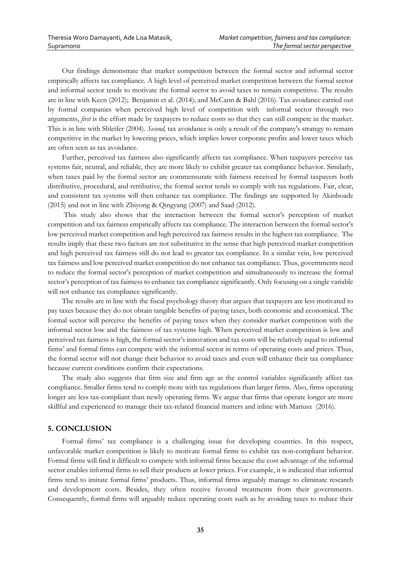Our findings demonstrate that market competition between the formal sector and informal sector empirically affects tax compliance. A high level of perceived market competition between the formal sector and informal sector tends to motivate the formal sector to avoid taxes to remain competitive. The results are in line with Keen (2012); Benjamin et al. (2014); and McCann & Bahl (2016). Tax avoidance carried out by formal companies when perceived high level of competition with informal sector through two arguments, *first* is the effort made by taxpayers to reduce costs so that they can still compete in the market. This is in line with Shleifer (2004). *Second,* tax avoidance is only a result of the company's strategy to remain competitive in the market by lowering prices, which implies lower corporate profits and lower taxes which are often seen as tax avoidance.

Further, perceived tax fairness also significantly affects tax compliance. When taxpayers perceive tax systems fair, neutral, and reliable, they are more likely to exhibit greater tax compliance behavior. Similarly, when taxes paid by the formal sector are commensurate with fairness received by formal taxpayers both distributive, procedural, and retributive, the formal sector tends to comply with tax regulations. Fair, clear, and consistent tax systems will then enhance tax compliance. The findings are supported by Akinboade (2015) and not in line with Zhiyong & Qingyang (2007) and Saad (2012).

This study also shows that the interaction between the formal sector's perception of market competition and tax fairness empirically affects tax compliance. The interaction between the formal sector's low perceived market competition and high perceived tax fairness results in the highest tax compliance. The results imply that these two factors are not substitutive in the sense that high perceived market competition and high perceived tax fairness still do not lead to greater tax compliance. In a similar vein, low perceived tax fairness and low perceived market competition do not enhance tax compliance. Thus, governments need to reduce the formal sector's perception of market competition and simultaneously to increase the formal sector's perception of tax fairness to enhance tax compliance significantly. Only focusing on a single variable will not enhance tax compliance significantly.

The results are in line with the fiscal psychology theory that argues that taxpayers are less motivated to pay taxes because they do not obtain tangible benefits of paying taxes, both economic and economical. The formal sector will perceive the benefits of paying taxes when they consider market competition with the informal sector low and the fairness of tax systems high. When perceived market competition is low and perceived tax fairness is high, the formal sector's innovation and tax costs will be relatively equal to informal firms' and formal firms can compete with the informal sector in terms of operating costs and prices. Thus, the formal sector will not change their behavior to avoid taxes and even will enhance their tax compliance because current conditions confirm their expectations.

The study also suggests that firm size and firm age as the control variables significantly affect tax compliance. Smaller firms tend to comply more with tax regulations than larger firms. Also, firms operating longer are less tax-compliant than newly operating firms. We argue that firms that operate longer are more skillful and experienced to manage their tax-related financial matters and inline with Mariusz (2016).

#### **5. CONCLUSION**

Formal firms' tax compliance is a challenging issue for developing countries. In this respect, unfavorable market competition is likely to motivate formal firms to exhibit tax non-compliant behavior. Formal firms will find it difficult to compete with informal firms because the cost advantage of the informal sector enables informal firms to sell their products at lower prices. For example, it is indicated that informal firms tend to imitate formal firms' products. Thus, informal firms arguably manage to eliminate research and development costs. Besides, they often receive favored treatments from their governments. Consequently, formal firms will arguably reduce operating costs such as by avoiding taxes to reduce their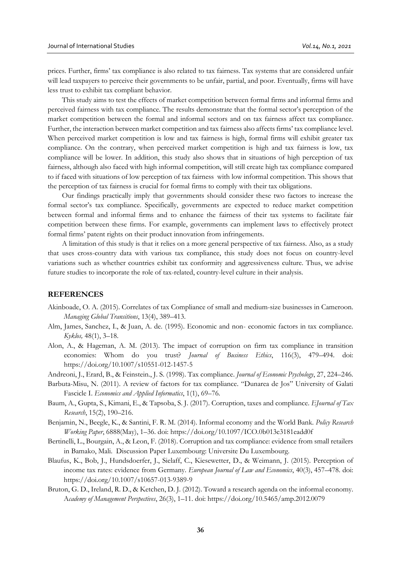prices. Further, firms' tax compliance is also related to tax fairness. Tax systems that are considered unfair will lead taxpayers to perceive their governments to be unfair, partial, and poor. Eventually, firms will have less trust to exhibit tax compliant behavior.

This study aims to test the effects of market competition between formal firms and informal firms and perceived fairness with tax compliance. The results demonstrate that the formal sector's perception of the market competition between the formal and informal sectors and on tax fairness affect tax compliance. Further, the interaction between market competition and tax fairness also affects firms' tax compliance level. When perceived market competition is low and tax fairness is high, formal firms will exhibit greater tax compliance. On the contrary, when perceived market competition is high and tax fairness is low, tax compliance will be lower. In addition, this study also shows that in situations of high perception of tax fairness, although also faced with high informal competition, will still create high tax compliance compared to if faced with situations of low perception of tax fairness with low informal competition. This shows that the perception of tax fairness is crucial for formal firms to comply with their tax obligations.

Our findings practically imply that governments should consider these two factors to increase the formal sector's tax compliance. Specifically, governments are expected to reduce market competition between formal and informal firms and to enhance the fairness of their tax systems to facilitate fair competition between these firms. For example, governments can implement laws to effectively protect formal firms' patent rights on their product innovation from infringements.

A limitation of this study is that it relies on a more general perspective of tax fairness. Also, as a study that uses cross-country data with various tax compliance, this study does not focus on country-level variations such as whether countries exhibit tax conformity and aggressiveness culture. Thus, we advise future studies to incorporate the role of tax-related, country-level culture in their analysis.

## **REFERENCES**

- Akinboade, O. A. (2015). Correlates of tax Compliance of small and medium-size businesses in Cameroon. *Managing Global Transitions*, 13(4), 389–413.
- Alm, James, Sanchez, I., & Juan, A. de. (1995). Economic and non- economic factors in tax compliance. *Kyklos,* 48(1), 3–18.
- Alon, A., & Hageman, A. M. (2013). The impact of corruption on firm tax compliance in transition economies: Whom do you trust? *Journal of Business Ethics*, 116(3), 479–494. doi: https://doi.org/10.1007/s10551-012-1457-5
- Andreoni, J., Erard, B., & Feinstein., J. S. (1998). Tax compliance. *Journal of Economic Psychology*, 27, 224–246.
- Barbuta-Misu, N. (2011). A review of factors for tax compliance. "Dunarea de Jos" University of Galati Fascicle I. *Economics and Applied Informatics*, 1(1), 69–76.
- Baum, A., Gupta, S., Kimani, E., & Tapsoba, S. J. (2017). Corruption, taxes and compliance. *EJournal of Tax Research*, 15(2), 190–216.
- Benjamin, N., Beegle, K., & Santini, F. R. M. (2014). Informal economy and the World Bank. *Policy Research Working Paper*, 6888(May), 1–36. doi: https://doi.org/10.1097/ICO.0b013e3181eadd0f
- Bertinelli, L., Bourgain, A., & Leon, F. (2018). Corruption and tax compliance: evidence from small retailers in Bamako, Mali. Discussion Paper Luxembourg: Universite Du Luxembourg.
- Blaufus, K., Bob, J., Hundsdoerfer, J., Sielaff, C., Kiesewetter, D., & Weimann, J. (2015). Perception of income tax rates: evidence from Germany. *European Journal of Law and Economics*, 40(3), 457–478. doi: https://doi.org/10.1007/s10657-013-9389-9
- Bruton, G. D., Ireland, R. D., & Ketchen, D. J. (2012). Toward a research agenda on the informal economy. A*cademy of Management Perspectives*, 26(3), 1–11. doi: https://doi.org/10.5465/amp.2012.0079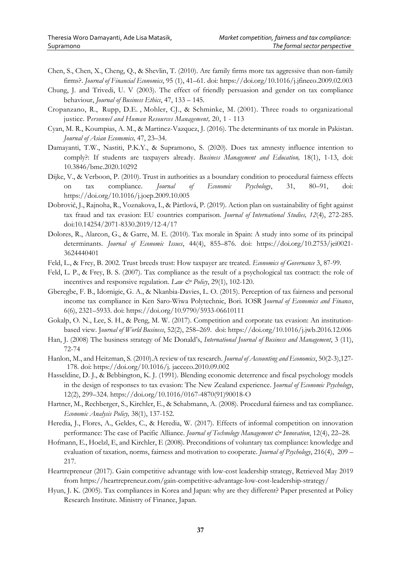- Chen, S., Chen, X., Cheng, Q., & Shevlin, T. (2010). Are family firms more tax aggressive than non-family firms?. *Journal of Financial Economics*, 95 (1), 41–61. doi:<https://doi.org/10.1016/j.jfineco.2009.02.003>
- Chung, J. and Trivedi, U. V (2003). The effect of friendly persuasion and gender on tax compliance behaviour, *Journal of Business Ethics*, 47, 133 – 145.
- [Cropanzano,](https://www.emeraldinsight.com/author/Cropanzano%2C+Russell) R., [Rupp,](https://www.emeraldinsight.com/author/Rupp%2C+Deborah+E) D.E. , [Mohler,](https://www.emeraldinsight.com/author/Mohler%2C+Carolyn+J) CJ., & [Schminke,](https://www.emeraldinsight.com/author/Mohler%2C+Carolyn+J) M. (2001). Three roads to organizational justice. P*ersonnel and Human Resources Management,* 20, 1 - 113
- Cyan, M. R., Koumpias, A. M., & Martinez-Vazquez, J. (2016). The determinants of tax morale in Pakistan. *Journal of Asian Economics,* 47, 23–34.
- Damayanti, T.W., Nastiti, P.K.Y., & Supramono, S. (2020). Does tax amnesty influence intention to comply?: If students are taxpayers already. *Business Management and Education,* 18(1), 1-13, doi: [10.3846/bme.2020.10292](https://www.researchgate.net/deref/http%3A%2F%2Fdx.doi.org%2F10.3846%2Fbme.2020.10292?_sg%5B0%5D=WzTeXQ4Z3Yh9mbxADJEEDID_rj6rbB7X8YI0u0PO0zH6PNMvxRqntZJGzMez574SgAgQgALmA2wsgKRAUXmZDGr1SQ.uZZFFwYGZa2im2b3HStFWvoCL6j2YBFz4SKjGFpWCbXxt1zECCl1lsCDpYG5JQ9-NAnZ2UAyt-gFDURxZDcDBg)
- Dijke, V., & Verboon, P. (2010). Trust in authorities as a boundary condition to procedural fairness effects on tax compliance. *Journal of Economic Psychology*, 31, 80–91, doi: <https://doi.org/10.1016/j.joep.2009.10.005>
- Dobrovič, J., Rajnoha, R., Voznakova, I., & Pártlová, P. (2019). Action plan on sustainability of fight against tax fraud and tax evasion: EU countries comparison. *Journal of International Studies, 12*(4), 272-285. doi:10.14254/2071-8330.2019/12-4/17
- Dolores, R., Alarcon, G., & Garre, M. E. (2010). Tax morale in Spain: A study into some of its principal determinants. *Journal of Economic Issues*, 44(4), 855–876. doi: https://doi.org/10.2753/jei0021- 3624440401
- Feld, L., & Frey, B. 2002. Trust breeds trust: How taxpayer are treated. *Economics of Governance* 3, 87-99.
- Feld, L. P., & Frey, B. S. (2007). Tax compliance as the result of a psychological tax contract: the role of incentives and responsive regulation. *Law & Policy*, 29(1), 102-120.
- Gberegbe, F. B., Idornigie, G. A., & Nkanbia-Davies, L. O. (2015). Perception of tax fairness and personal income tax compliance in Ken Saro-Wiwa Polytechnic, Bori. IOSR J*ournal of Economics and Finance*, 6(6), 2321–5933. doi: https://doi.org/10.9790/5933-06610111
- Gokalp, O. N., Lee, S. H., & Peng, M. W. (2017). Competition and corporate tax evasion: An institutionbased view. J*ournal of World Business*, 52(2), 258–269. doi: https://doi.org/10.1016/j.jwb.2016.12.006
- Han, J. (2008) The business strategy of Mc Donald's, *International Journal of Business and Management*, 3 (11), 72-74
- Hanlon, M., and Heitzman, S. (2010).A review of tax research. *Journal of Accounting and Economics*, 50(2-3),127- 178. doi: https://doi.org/10.1016/j. jacceco.2010.09.002
- Hasseldine, D. J., & Bebbington, K. J. (1991). Blending economic deterrence and fiscal psychology models in the design of responses to tax evasion: The New Zealand experience. J*ournal of Economic Psychology*, 12(2), 299–324. https://doi.org/10.1016/0167-4870(91)90018-O
- Hartner, M., Rechberger, S., Kirchler, E., & Schabmann, A. (2008). Procedural fairness and tax compliance. *Economic Analysis Policy,* 38(1), 137-152.
- Heredia, J., Flores, A., Geldes, C., & Heredia, W. (2017). Effects of informal competition on innovation performance: The case of Pacific Alliance. *Journal of Technology Management & Innovation*, 12(4), 22–28.
- Hofmann, E., Hoelzl, E, and Kirchler, E (2008). Preconditions of voluntary tax compliance: knowledge and evaluation of taxation, norms, fairness and motivation to cooperate. *Journal of Psychology*, 216(4), 209 – 217.
- Heartrepreneur (2017). Gain competitive advantage with low-cost leadership strategy, Retrieved May 2019 from https://heartrepreneur.com/gain-competitive-advantage-low-cost-leadership-strategy/
- Hyun, J. K. (2005). Tax compliances in Korea and Japan: why are they different? Paper presented at Policy Research Institute. Ministry of Finance, Japan.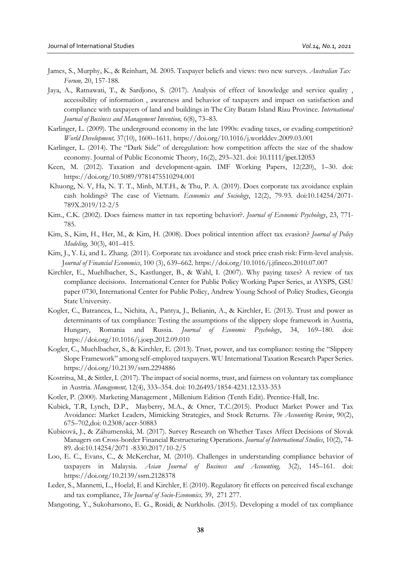- James, S., Murphy, K., & Reinhart, M. 2005. Taxpayer beliefs and views: two new surveys. *Australian Tax Forum,* 20, 157-188.
- Jaya, A., Ratnawati, T., & Sardjono, S. (2017). Analysis of effect of knowledge and service quality , accessibility of information , awareness and behavior of taxpayers and impact on satisfaction and compliance with taxpayers of land and buildings in The City Batam Island Riau Province. *International Journal of Business and Management Invention,* 6(8), 73–83.
- Karlinger, L. (2009). The underground economy in the late 1990s: evading taxes, or evading competition? *World Development,* 37(10), 1600–1611. https://doi.org/10.1016/j.worlddev.2009.03.001
- Karlinger, L. (2014). The "Dark Side" of deregulation: how competition affects the size of the shadow economy. Journal of Public Economic Theory, 16(2), 293–321. doi: 10.1111/jpet.12053
- Keen, M. (2012). Taxation and development-again. IMF Working Papers, 12(220), 1–30. doi: https://doi.org/10.5089/9781475510294.001
- Khuong, N. V, Ha, N. T. T., Minh, M.T.H., & Thu, P. A. (2019). Does corporate tax avoidance explain cash holdings? The case of Vietnam. *Economics and Sociology*, 12(2), 79-93. doi:10.14254/2071- 789X.2019/12-2/5
- Kim., C.K. (2002). Does fairness matter in tax reporting behavior?. *Journal of Economic Psychology*, 23, 771- 785.
- Kim, S., Kim, H., Her, M., & Kim, H. (2008). Does political intention affect tax evasion? *Journal of Policy Modeling,* 30(3), 401–415.
- Kim, J., Y. Li, and L. Zhang. (2011). Corporate tax avoidance and stock price crash risk: Firm-level analysis. J*ournal of Financial Economics*, 100 (3), 639–662. <https://doi.org/10.1016/j.jfineco.2010.07.007>
- Kirchler, E., Muehlbacher, S., Kastlunger, B., & Wahl, I. (2007). Why paying taxes? A review of tax compliance decisions. [International Center for Public Policy Working Paper Series, at AYSPS, GSU](https://ideas.repec.org/s/ays/ispwps.html) paper 0730, International Center for Public Policy, Andrew Young School of Policy Studies, Georgia State University.
- Kogler, C., Batrancea, L., Nichita, A., Pantya, J., Belianin, A., & Kirchler, E. (2013). Trust and power as determinants of tax compliance: Testing the assumptions of the slippery slope framework in Austria, Hungary, Romania and Russia. *Journal of Economic Psychology*, 34, 169–180. doi: https://doi.org/10.1016/j.joep.2012.09.010
- Kogler, C., Muehlbacher, S., & Kirchler, E. (2013). Trust, power, and tax compliance: testing the "Slippery Slope Framework" among self-employed taxpayers. WU International Taxation Research Paper Series. https://doi.org/10.2139/ssrn.2294886
- Kostritsa, M., & Sittler, I. (2017). The impact of social norms, trust, and fairness on voluntary tax compliance in Austria. *Management,* 12(4), 333–354. doi: [10.26493/1854-4231.12.333-353](https://www.researchgate.net/deref/http%3A%2F%2Fdx.doi.org%2F10.26493%2F1854-4231.12.333-353?_sg%5B0%5D=wLzdINoXOw49PIapazrMjqPJrOXUJVUG-hpPO1UKSzBlPndYwUJHcLxcshCLMth6ihZvsEBwYDMRx5QmffsKRJVvBg.0nbvsMwImFHYdBijj3Y8EHVfRrHOh6cOlShOBxyeptt6gcWviOmDMKUj-x1kdP_ZFs80wZoAa5nZwivF9SJmpw)
- Kotler, P. (2000). Marketing Management , Millenium Edition (Tenth Edit). Prentice-Hall, Inc.
- Kubick, T.R, Lynch, D.P., Mayberry, M.A., & Omer, T.C.(2015). Product Market Power and Tax Avoidance: Market Leaders, Mimicking Strategies, and Stock Returns. *The Accounting Review*, 90(2), 675–702,doi: 0.2308/accr-50883
- Kubicová, J., & Záhumenská, M. (2017). Survey Research on Whether Taxes Affect Decisions of Slovak Managers on Cross-border Financial Restructuring Operations. *Journal of International Studies*, 10(2), 74- 89. doi:10.14254/2071 -8330.2017/10-2/5
- Loo, E. C., Evans, C., & McKerchar, M. (2010). Challenges in understanding compliance behavior of taxpayers in Malaysia. *Asian Journal of Business and Accounting,* 3(2), 145–161. doi: https://doi.org/10.2139/ssrn.2128378
- Leder, S., Mannetti, L., Hoelzl, E and Kirchler, E (2010). Regulatory fit effects on perceived fiscal exchange and tax compliance, *The Journal of Socio-Economics,* 39, 271 277.
- Mangoting, Y., Sukoharsono, E. G., Rosidi, & Nurkholis. (2015). Developing a model of tax compliance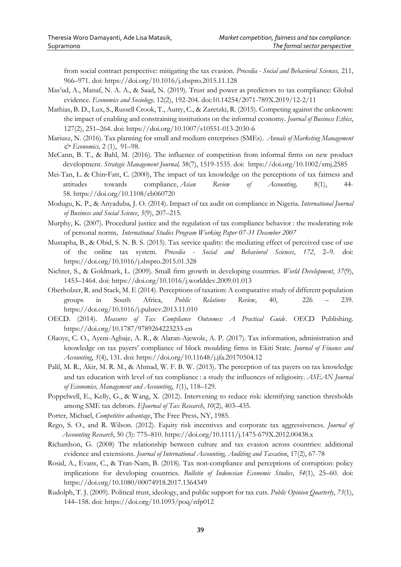from social contract perspective: mitigating the tax evasion. *Procedia - Social and Behavioral Sciences,* 211, 966–971. doi: https://doi.org/10.1016/j.sbspro.2015.11.128

- Mas'ud, A., Manaf, N. A. A., & Saad, N. (2019). Trust and power as predictors to tax compliance: Global evidence. *Economics and Sociology,* 12(2), 192-204. doi:10.14254/2071-789X.2019/12-2/11
- Mathias, B. D., Lux, S., Russell Crook, T., Autry, C., & Zaretzki, R. (2015). Competing against the unknown: the impact of enabling and constraining institutions on the informal economy. *Journal of Business Ethics*, 127(2), 251–264. doi: https://doi.org/10.1007/s10551-013-2030-6
- Mariusz, N. (2016). Tax planning for small and medium enterprises (SMEs). *Annals of Marketing Management & Economics,* 2 (1), 91–98.
- McCann, B. T., & Bahl, M. (2016). The influence of competition from informal firms on new product development. *Strategic Management Journal,* 38(7), 1519-1535. doi: <https://doi.org/10.1002/smj.2585>
- [Mei-Tan, L.](https://www.emerald.com/insight/search?q=Lin%20Mei%20Tan) & Chin‐[Fatt, C.](https://www.emerald.com/insight/search?q=Carrol%20Chin%E2%80%90Fatt) (2000), The impact of tax knowledge on the perceptions of tax fairness and attitudes towards compliance, *[Asian Review of Accounting,](https://www.emerald.com/insight/publication/issn/1321-7348)* 8(1), 44- 58. <https://doi.org/10.1108/eb060720>
- Modugu, K. P., & Anyaduba, J. O. (2014). Impact of tax audit on compliance in Nigeria. *International Journal of Business and Social Science*, *5*(9), 207–215.
- Murphy, K. (2007). Procedural justice and the regulation of tax compliance behavior : the moderating role of personal norms*, International Studies Program Working Paper 07-31 December 2007*
- Mustapha, B., & Obid, S. N. B. S. (2015). Tax service quality: the mediating effect of perceived ease of use of the online tax system. *Procedia - Social and Behavioral Sciences*, *172*, 2–9. doi: https://doi.org/10.1016/j.sbspro.2015.01.328
- Nichter, S., & Goldmark, L. (2009). Small firm growth in developing countries. *World Development*, *37*(9), 1453–1464. doi: https://doi.org/10.1016/j.worlddev.2009.01.013
- Oberholzer, R. and Stack, M. E (2014). Perceptions of taxation: A comparative study of different population groups in South Africa, *Public Relations Review*, 40, 226 – 239. <https://doi.org/10.1016/j.pubrev.2013.11.010>
- OECD. (2014). *Measures of Tax Compliance Outcomes: A Practical Guide*. OECD Publishing. https://doi.org/10.1787/9789264223233-en
- Olaoye, C. O., Ayeni-Agbaje, A. R., & Alaran-Ajewole, A. P. (2017). Tax information, administration and knowledge on tax payers' compliance of block moulding firms in Ekiti State. *Journal of Finance and Accounting*, *5*(4), 131. doi: https://doi.org/10.11648/j.jfa.20170504.12
- Palil, M. R., Akir, M. R. M., & Ahmad, W. F. B. W. (2013). The perception of tax payers on tax knowledge and tax education with level of tax compliance : a study the influences of religiosity. *ASEAN Journal of Economics, Management and Accounting*, *1*(1), 118–129.
- Poppelwell, E., Kelly, G., & Wang, X. (2012). Intervening to reduce risk: identifying sanction thresholds among SME tax debtors. *EJournal of Tax Research*, *10*(2), 403–435.
- Porter, Michael, *Competitive advantage*, The Free Press, NY, 1985.
- Rego, S. O., and R. Wilson. (2012). Equity risk incentives and corporate tax aggressiveness. *Journal of Accounting Research*, 50 (3): 775–810. <https://doi.org/10.1111/j.1475-679X.2012.00438.x>
- Richardson, G. (2008) The relationship between culture and tax evasion across countries: additional evidence and extensions. *Journal of International Accounting, Auditing and Taxation*, 17(2), 67-78
- Rosid, A., Evans, C., & Tran-Nam, B. (2018). Tax non-compliance and perceptions of corruption: policy implications for developing countries. *Bulletin of Indonesian Economic Studies*, *54*(1), 25–60. doi: https://doi.org/10.1080/00074918.2017.1364349
- Rudolph, T. J. (2009). Political trust, ideology, and public support for tax cuts. *Public Opinion Quarterly*, *73*(1), 144–158. doi: https://doi.org/10.1093/poq/nfp012